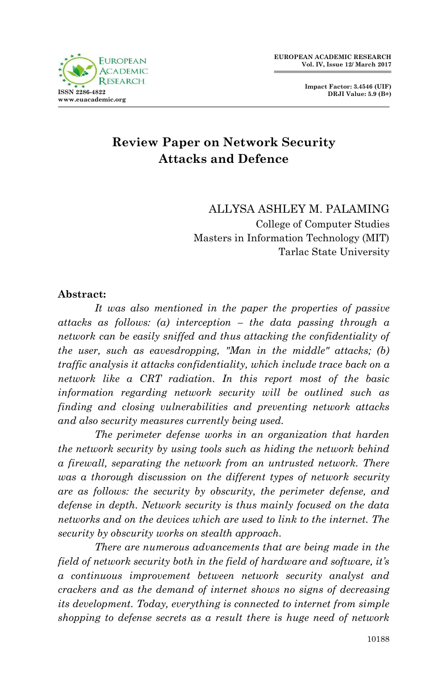

# **Review Paper on Network Security Attacks and Defence**

ALLYSA ASHLEY M. PALAMING College of Computer Studies Masters in Information Technology (MIT) Tarlac State University

#### **Abstract:**

*It was also mentioned in the paper the properties of passive attacks as follows: (a) interception – the data passing through a network can be easily sniffed and thus attacking the confidentiality of the user, such as eavesdropping, "Man in the middle" attacks; (b) traffic analysis it attacks confidentiality, which include trace back on a network like a CRT radiation. In this report most of the basic information regarding network security will be outlined such as finding and closing vulnerabilities and preventing network attacks and also security measures currently being used.*

*The perimeter defense works in an organization that harden the network security by using tools such as hiding the network behind a firewall, separating the network from an untrusted network. There was a thorough discussion on the different types of network security are as follows: the security by obscurity, the perimeter defense, and defense in depth. Network security is thus mainly focused on the data networks and on the devices which are used to link to the internet. The security by obscurity works on stealth approach.*

*There are numerous advancements that are being made in the field of network security both in the field of hardware and software, it's a continuous improvement between network security analyst and crackers and as the demand of internet shows no signs of decreasing its development. Today, everything is connected to internet from simple shopping to defense secrets as a result there is huge need of network*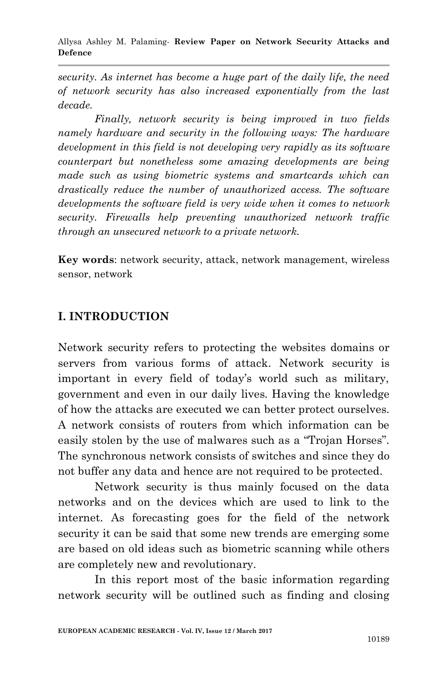*security. As internet has become a huge part of the daily life, the need of network security has also increased exponentially from the last decade.*

*Finally, network security is being improved in two fields namely hardware and security in the following ways: The hardware development in this field is not developing very rapidly as its software counterpart but nonetheless some amazing developments are being made such as using biometric systems and smartcards which can drastically reduce the number of unauthorized access. The software developments the software field is very wide when it comes to network security. Firewalls help preventing unauthorized network traffic through an unsecured network to a private network.*

**Key words**: network security, attack, network management, wireless sensor, network

### **I. INTRODUCTION**

Network security refers to protecting the websites domains or servers from various forms of attack. Network security is important in every field of today's world such as military, government and even in our daily lives. Having the knowledge of how the attacks are executed we can better protect ourselves. A network consists of routers from which information can be easily stolen by the use of malwares such as a "Trojan Horses". The synchronous network consists of switches and since they do not buffer any data and hence are not required to be protected.

Network security is thus mainly focused on the data networks and on the devices which are used to link to the internet. As forecasting goes for the field of the network security it can be said that some new trends are emerging some are based on old ideas such as biometric scanning while others are completely new and revolutionary.

In this report most of the basic information regarding network security will be outlined such as finding and closing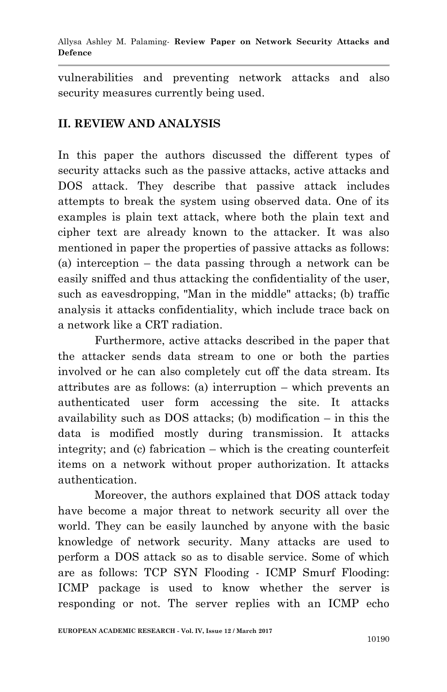vulnerabilities and preventing network attacks and also security measures currently being used.

## **II. REVIEW AND ANALYSIS**

In this paper the authors discussed the different types of security attacks such as the passive attacks, active attacks and DOS attack. They describe that passive attack includes attempts to break the system using observed data. One of its examples is plain text attack, where both the plain text and cipher text are already known to the attacker. It was also mentioned in paper the properties of passive attacks as follows: (a) interception – the data passing through a network can be easily sniffed and thus attacking the confidentiality of the user, such as eavesdropping, "Man in the middle" attacks; (b) traffic analysis it attacks confidentiality, which include trace back on a network like a CRT radiation.

Furthermore, active attacks described in the paper that the attacker sends data stream to one or both the parties involved or he can also completely cut off the data stream. Its attributes are as follows: (a) interruption – which prevents an authenticated user form accessing the site. It attacks availability such as DOS attacks; (b) modification – in this the data is modified mostly during transmission. It attacks integrity; and (c) fabrication – which is the creating counterfeit items on a network without proper authorization. It attacks authentication.

Moreover, the authors explained that DOS attack today have become a major threat to network security all over the world. They can be easily launched by anyone with the basic knowledge of network security. Many attacks are used to perform a DOS attack so as to disable service. Some of which are as follows: TCP SYN Flooding - ICMP Smurf Flooding: ICMP package is used to know whether the server is responding or not. The server replies with an ICMP echo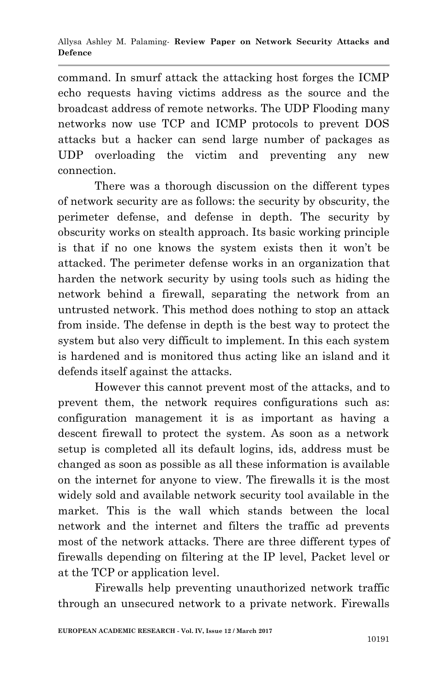command. In smurf attack the attacking host forges the ICMP echo requests having victims address as the source and the broadcast address of remote networks. The UDP Flooding many networks now use TCP and ICMP protocols to prevent DOS attacks but a hacker can send large number of packages as UDP overloading the victim and preventing any new connection.

There was a thorough discussion on the different types of network security are as follows: the security by obscurity, the perimeter defense, and defense in depth. The security by obscurity works on stealth approach. Its basic working principle is that if no one knows the system exists then it won't be attacked. The perimeter defense works in an organization that harden the network security by using tools such as hiding the network behind a firewall, separating the network from an untrusted network. This method does nothing to stop an attack from inside. The defense in depth is the best way to protect the system but also very difficult to implement. In this each system is hardened and is monitored thus acting like an island and it defends itself against the attacks.

However this cannot prevent most of the attacks, and to prevent them, the network requires configurations such as: configuration management it is as important as having a descent firewall to protect the system. As soon as a network setup is completed all its default logins, ids, address must be changed as soon as possible as all these information is available on the internet for anyone to view. The firewalls it is the most widely sold and available network security tool available in the market. This is the wall which stands between the local network and the internet and filters the traffic ad prevents most of the network attacks. There are three different types of firewalls depending on filtering at the IP level, Packet level or at the TCP or application level.

Firewalls help preventing unauthorized network traffic through an unsecured network to a private network. Firewalls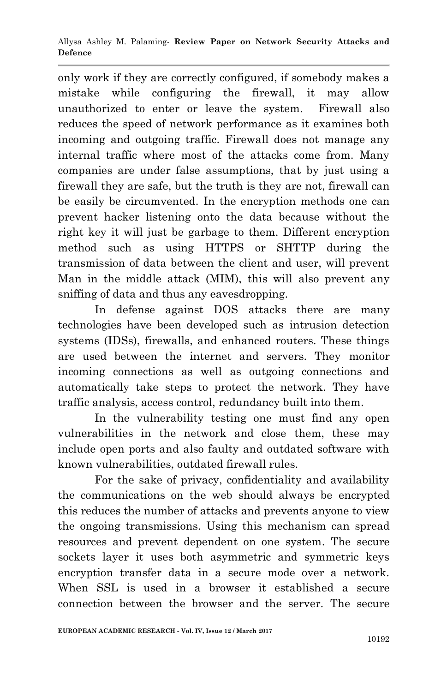only work if they are correctly configured, if somebody makes a mistake while configuring the firewall, it may allow unauthorized to enter or leave the system. Firewall also reduces the speed of network performance as it examines both incoming and outgoing traffic. Firewall does not manage any internal traffic where most of the attacks come from. Many companies are under false assumptions, that by just using a firewall they are safe, but the truth is they are not, firewall can be easily be circumvented. In the encryption methods one can prevent hacker listening onto the data because without the right key it will just be garbage to them. Different encryption method such as using HTTPS or SHTTP during the transmission of data between the client and user, will prevent Man in the middle attack (MIM), this will also prevent any sniffing of data and thus any eavesdropping.

In defense against DOS attacks there are many technologies have been developed such as intrusion detection systems (IDSs), firewalls, and enhanced routers. These things are used between the internet and servers. They monitor incoming connections as well as outgoing connections and automatically take steps to protect the network. They have traffic analysis, access control, redundancy built into them.

In the vulnerability testing one must find any open vulnerabilities in the network and close them, these may include open ports and also faulty and outdated software with known vulnerabilities, outdated firewall rules.

For the sake of privacy, confidentiality and availability the communications on the web should always be encrypted this reduces the number of attacks and prevents anyone to view the ongoing transmissions. Using this mechanism can spread resources and prevent dependent on one system. The secure sockets layer it uses both asymmetric and symmetric keys encryption transfer data in a secure mode over a network. When SSL is used in a browser it established a secure connection between the browser and the server. The secure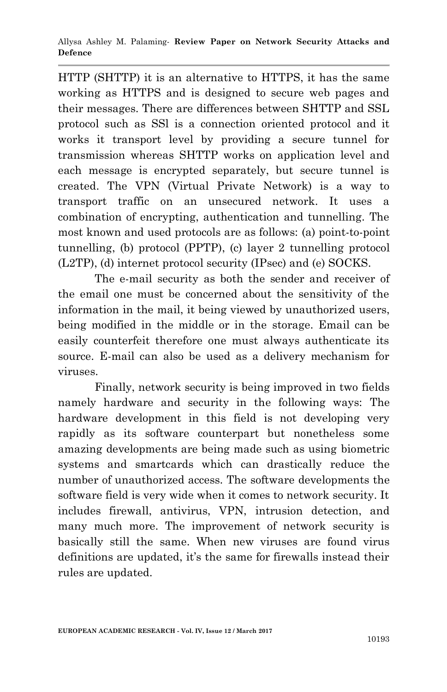HTTP (SHTTP) it is an alternative to HTTPS, it has the same working as HTTPS and is designed to secure web pages and their messages. There are differences between SHTTP and SSL protocol such as SSl is a connection oriented protocol and it works it transport level by providing a secure tunnel for transmission whereas SHTTP works on application level and each message is encrypted separately, but secure tunnel is created. The VPN (Virtual Private Network) is a way to transport traffic on an unsecured network. It uses a combination of encrypting, authentication and tunnelling. The most known and used protocols are as follows: (a) point-to-point tunnelling, (b) protocol (PPTP), (c) layer 2 tunnelling protocol (L2TP), (d) internet protocol security (IPsec) and (e) SOCKS.

The e-mail security as both the sender and receiver of the email one must be concerned about the sensitivity of the information in the mail, it being viewed by unauthorized users, being modified in the middle or in the storage. Email can be easily counterfeit therefore one must always authenticate its source. E-mail can also be used as a delivery mechanism for viruses.

Finally, network security is being improved in two fields namely hardware and security in the following ways: The hardware development in this field is not developing very rapidly as its software counterpart but nonetheless some amazing developments are being made such as using biometric systems and smartcards which can drastically reduce the number of unauthorized access. The software developments the software field is very wide when it comes to network security. It includes firewall, antivirus, VPN, intrusion detection, and many much more. The improvement of network security is basically still the same. When new viruses are found virus definitions are updated, it's the same for firewalls instead their rules are updated.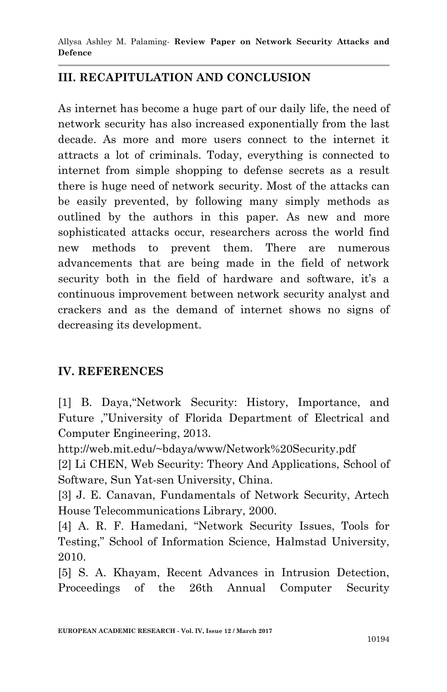Allysa Ashley M. Palaming*-* **Review Paper on Network Security Attacks and Defence**

### **III. RECAPITULATION AND CONCLUSION**

As internet has become a huge part of our daily life, the need of network security has also increased exponentially from the last decade. As more and more users connect to the internet it attracts a lot of criminals. Today, everything is connected to internet from simple shopping to defense secrets as a result there is huge need of network security. Most of the attacks can be easily prevented, by following many simply methods as outlined by the authors in this paper. As new and more sophisticated attacks occur, researchers across the world find new methods to prevent them. There are numerous advancements that are being made in the field of network security both in the field of hardware and software, it's a continuous improvement between network security analyst and crackers and as the demand of internet shows no signs of decreasing its development.

#### **IV. REFERENCES**

[1] B. Daya,"Network Security: History, Importance, and Future ,"University of Florida Department of Electrical and Computer Engineering, 2013.

http://web.mit.edu/~bdaya/www/Network%20Security.pdf

[2] Li CHEN, Web Security: Theory And Applications, School of Software, Sun Yat-sen University, China.

[3] J. E. Canavan, Fundamentals of Network Security, Artech House Telecommunications Library, 2000.

[4] A. R. F. Hamedani, "Network Security Issues, Tools for Testing," School of Information Science, Halmstad University, 2010.

[5] S. A. Khayam, Recent Advances in Intrusion Detection, Proceedings of the 26th Annual Computer Security